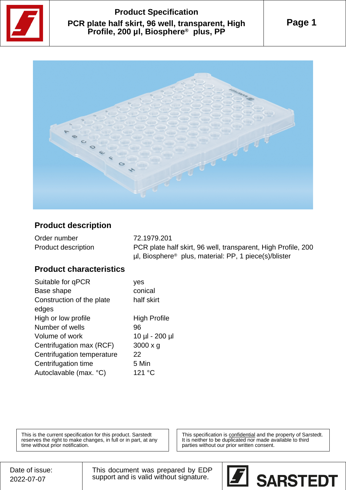

# **Product Specification PCR plate half skirt, 96 well, transparent, High Profile, 200 µl, Biosphere® plus, PP**





#### **Product description**

| Order number        | 72.1979.201                                                            |
|---------------------|------------------------------------------------------------------------|
| Product description | PCR plate half skirt, 96 well, transparent, High Profile, 200          |
|                     | $\mu$ l, Biosphere <sup>®</sup> plus, material: PP, 1 piece(s)/blister |

### **Product characteristics**

| Suitable for qPCR          | ves                 |
|----------------------------|---------------------|
| Base shape                 | conical             |
| Construction of the plate  | half skirt          |
| edges                      |                     |
| High or low profile        | <b>High Profile</b> |
| Number of wells            | 96                  |
| Volume of work             | 10 µl - 200 µl      |
| Centrifugation max (RCF)   | $3000 \times g$     |
| Centrifugation temperature | 22                  |
| Centrifugation time        | 5 Min               |
| Autoclavable (max. °C)     | 121 °C              |
|                            |                     |

This is the current specification for this product. Sarstedt reserves the right to make changes, in full or in part, at any time without prior notification.

This specification is **confidential** and the property of Sarstedt. It is neither to be duplicated nor made available to third parties without our prior written consent.

This document was prepared by EDP support and is valid without signature.